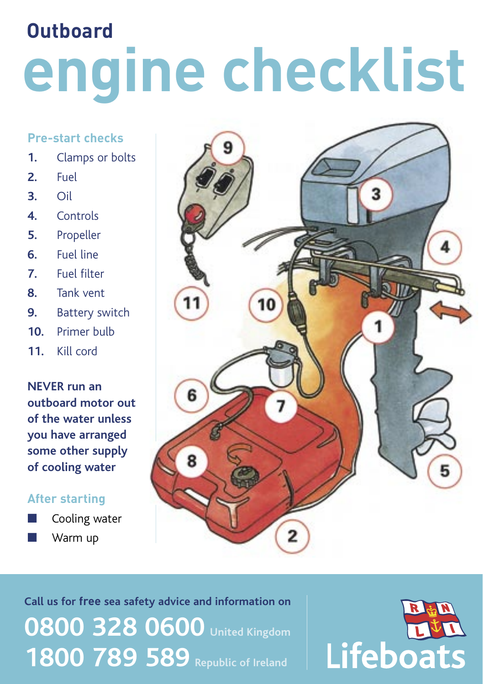# **Outboard engine checklist**

#### **Pre-start checks**

- **1.** Clamps or bolts
- **2.** Fuel
- **3.** Oil
- **4.** Controls
- **5.** Propeller
- **6.** Fuel line
- **7.** Fuel filter
- **8.** Tank vent
- **9.** Battery switch
- **10.** Primer bulb
- **11.** Kill cord

**NEVER run an outboard motor out of the water unless you have arranged some other supply of cooling water**

#### **After starting**

Cooling water **Warm up** 



**Call us for free sea safety advice and information on 0800 328 0600 United Kingdom 1800 789 589** Republic of Ireland